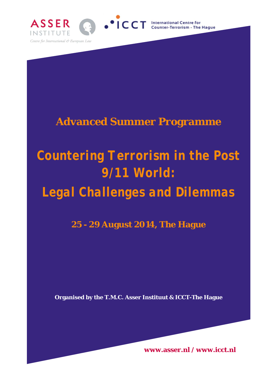

# **Advanced Summer Programme**

# *Countering Terrorism in the Post 9/11 World: Legal Challenges and Dilemmas*

**25 - 29 August 2014, The Hague**

**Organised by the T.M.C. Asser Instituut & ICCT-The Hague**

**www.asser.nl / www.icct.nl**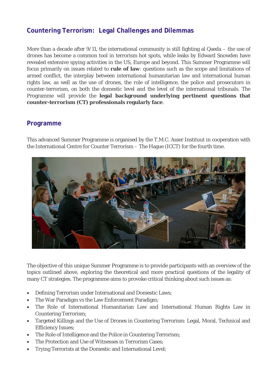## **Countering Terrorism: Legal Challenges and Dilemmas**

More than a decade after 9/11, the international community is still fighting al Qaeda – the use of drones has become a common tool in terrorism hot spots, while leaks by Edward Snowden have revealed extensive spying activities in the US, Europe and beyond. This Summer Programme will focus primarily on issues related to **rule of law**: questions such as the scope and limitations of armed conflict, the interplay between international humanitarian law and international human rights law, as well as the use of drones, the role of intelligence, the police and prosecutors in counter-terrorism, on both the domestic level and the level of the international tribunals. The Programme will provide the **legal background underlying pertinent questions that counter-terrorism (CT) professionals regularly face**.

### **Programme**

This advanced Summer Programme is organised by the T.M.C. Asser Instituut in cooperation with the International Centre for Counter Terrorism – The Hague (ICCT) for the fourth time.



The objective of this unique Summer Programme is to provide participants with an overview of the topics outlined above, exploring the theoretical and more practical questions of the legality of many CT strategies. The programme aims to provoke critical thinking about such issues as:

- Defining Terrorism under International and Domestic Laws;
- The War Paradigm vs the Law Enforcement Paradigm;
- The Role of International Humanitarian Law and International Human Rights Law in Countering Terrorism;
- Targeted Killings and the Use of Drones in Countering Terrorism: Legal, Moral, Technical and Efficiency Issues;
- The Role of Intelligence and the Police in Countering Terrorism;
- The Protection and Use of Witnesses in Terrorism Cases:
- Trying Terrorists at the Domestic and International Level;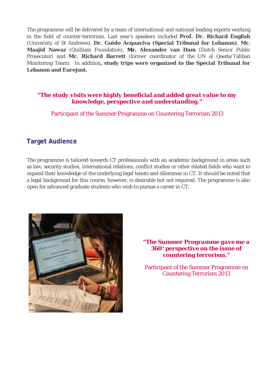The programme will be delivered by a team of international and national leading experts working in the field of counter-terrorism. Last year's speakers included **Prof. Dr. Richard English** (University of St Andrews), **Dr. Guido Acquaviva (Special Tribunal for Lebanon)**, **Mr. Maajid Nawaz** (Quilliam Foundation), **Mr. Alexander van Dam** (Dutch Senior Public Prosecutor) and **Mr. Richard Barrett** (former coordinator of the UN al Qaeda/Taliban Monitoring Team). In addition**, study trips were organized to the Special Tribunal for Lebanon and Eurojust.**

### *"The study visits were highly beneficial and added great value to my knowledge, perspective and understanding."*

Participant of the Summer Programme on Countering Terrorism 2013

### **Target Audience**

The programme is tailored towards CT professionals with an academic background in areas such as law, security studies, international relations, conflict studies or other related fields who want to expand their knowledge of the underlying legal tenets and dilemmas in CT. It should be noted that a legal background for this course, however, is desirable but not required. The programme is also open for advanced graduate students who wish to pursue a career in CT.



*"The Summer Programme gave me a 360° perspective on the issue of countering terrorism."*

Participant of the Summer Programme on Countering Terrorism 2013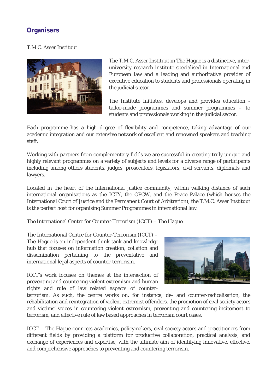# **Organisers**

### T.M.C. Asser Instituut



The T.M.C. Asser Instituut in The Hague is a distinctive, interuniversity research institute specialised in International and European law and a leading and authoritative provider of executive education to students and professionals operating in the judicial sector.

The Institute initiates, develops and provides education tailor-made programmes and summer programmes – to students and professionals working in the judicial sector.

Each programme has a high degree of flexibility and competence, taking advantage of our academic integration and our extensive network of excellent and renowned speakers and teaching staff.

Working with partners from complementary fields we are successful in creating truly unique and highly relevant programmes on a variety of subjects and levels for a diverse range of participants including among others students, judges, prosecutors, legislators, civil servants, diplomats and lawyers.

Located in the heart of the international justice community, within walking distance of such international organisations as the ICTY, the OPCW, and the Peace Palace (which houses the International Court of Justice and the Permanent Court of Arbitration), the T.M.C. Asser Instituut is the perfect host for organising Summer Programmes in international law.

### The International Centre for Counter-Terrorism (ICCT) – The Hague

The International Centre for Counter-Terrorism (ICCT) – The Hague is an independent think tank and knowledge hub that focuses on information creation, collation and dissemination pertaining to the preventative and international legal aspects of counter-terrorism.

ICCT's work focuses on themes at the intersection of preventing and countering violent extremism and human rights and rule of law related aspects of counter-



terrorism. As such, the centre works on, for instance, de- and counter-radicalisation, the rehabilitation and reintegration of violent extremist offenders, the promotion of civil society actors and victims' voices in countering violent extremism, preventing and countering incitement to terrorism, and effective rule of law based approaches in terrorism court cases.

ICCT – The Hague connects academics, policymakers, civil society actors and practitioners from different fields by providing a platform for productive collaboration, practical analysis, and exchange of experiences and expertise, with the ultimate aim of identifying innovative, effective, and comprehensive approaches to preventing and countering terrorism.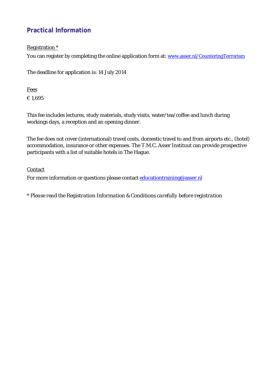# **Practical Information**

### Registration \*

You can register by completing the online application form at: [www.asser.nl/CounteringTerrorism](http://www.asser.nl/CounteringTerrorism)

The deadline for application is: 14 July 2014

Fees € 1,695

This fee includes lectures, study materials, study visits, water/tea/coffee and lunch during workings days, a reception and an opening dinner.

The fee does not cover (international) travel costs, domestic travel to and from airports etc., (hotel) accommodation, insurance or other expenses. The T.M.C. Asser Instituut can provide prospective participants with a list of suitable hotels in The Hague.

### **Contact**

For more information or questions please contact educationtraining@asser.nl

*\* Please read the Registration Information & Conditions carefully before registration*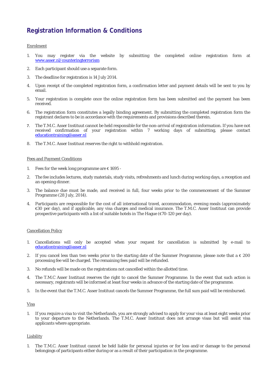# **Registration Information & Conditions**

### Enrolment

- 1. You may register via the website by submitting the completed online registration form at [www.asser.nl/counteringterrorism](http://www.asser.nl/counteringterrorism)
- 2. Each participant should use a separate form.
- 3. The deadline for registration is 14 July 2014.
- 4. Upon receipt of the completed registration form, a confirmation letter and payment details will be sent to you by email.
- 5. Your registration is complete once the online registration form has been submitted and the payment has been **received**
- 6. The registration form constitutes a legally binding agreement. By submitting the completed registration form the registrant declares to be in accordance with the requirements and provisions described therein.
- 7. The T.M.C. Asser Instituut cannot be held responsible for the non-arrival of registration information. If you have not received confirmation of your registration within 7 working days of submitting, please contact [educationtraining@asser.nl](mailto:educationtraining@asser.nl)
- 8. The T.M.C. Asser Instituut reserves the right to withhold registration.

### Fees and Payment Conditions

- 1. Fees for the week long programme are  $\epsilon$  1695 -
- 2. The fee includes lectures, study materials, study visits, refreshments and lunch during working days, a reception and an opening dinner.
- 3. The balance due must be made, and received in full, four weeks prior to the commencement of the Summer Programme (28 July, 2014).
- 4. Participants are responsible for the cost of all international travel, accommodation, evening meals (approximately €30 per day), and if applicable, any visa charges and medical insurance. The T.M.C. Asser Instituut can provide prospective participants with a list of suitable hotels in The Hague ( $\epsilon$ 70-120 per day).

### Cancellation Policy

- 1. Cancellations will only be accepted when your request for cancellation is submitted by e-mail to [educationtraining@asser.nl](mailto:educationtraining@asser.nl)
- 2. If you cancel less than two weeks prior to the starting date of the Summer Programme, please note that a  $\epsilon$  200 processing fee will be charged. The remaining fees paid will be refunded.
- 3. No refunds will be made on the registrations not cancelled within the allotted time.
- 4. The T.M.C Asser Instituut reserves the right to cancel the Summer Programme. In the event that such action is necessary, registrants will be informed at least four weeks in advance of the starting date of the programme.
- 5. In the event that the T.M.C. Asser Instituut cancels the Summer Programme, the full sum paid will be reimbursed.

### Visa

1. If you require a visa to visit the Netherlands, you are strongly advised to apply for your visa at least eight weeks prior to your departure to the Netherlands. The T.M.C. Asser Instituut does not arrange visas but will assist visa applicants where appropriate.

### **Liability**

1. The T.M.C. Asser Instituut cannot be held liable for personal injuries or for loss and/or damage to the personal belongings of participants either during or as a result of their participation in the programme.